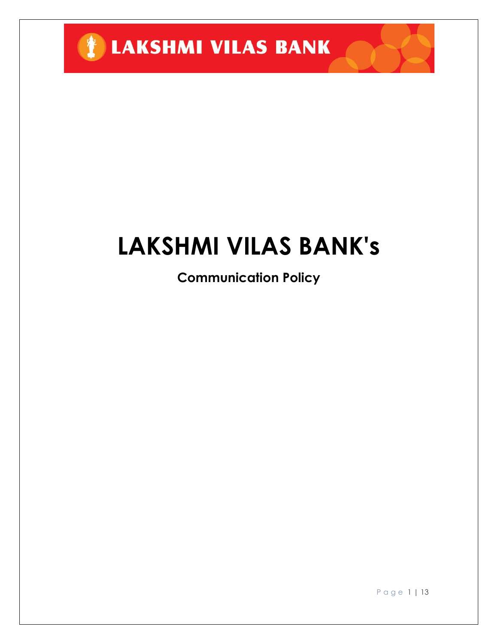

# **LAKSHMI VILAS BANK's**

**Communication Policy**

P a g e 1 | 13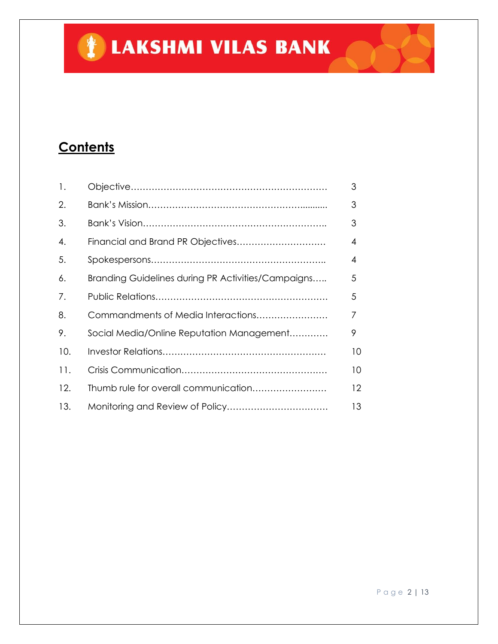## **TELAKSHMI VILAS BANK**

### **Contents**

| 1.  |                                                    | 3                 |
|-----|----------------------------------------------------|-------------------|
| 2.  |                                                    | 3                 |
| 3.  |                                                    | 3                 |
| 4.  | Financial and Brand PR Objectives                  | $\overline{4}$    |
| 5.  |                                                    | 4                 |
| 6.  | Branding Guidelines during PR Activities/Campaigns | 5                 |
| 7.  |                                                    | 5                 |
| 8.  | Commandments of Media Interactions                 | 7                 |
| 9.  | Social Media/Online Reputation Management          | 9                 |
| 10. |                                                    | 10                |
| 11. |                                                    | 10                |
| 12. | Thumb rule for overall communication               | $12 \overline{ }$ |
| 13. |                                                    | 13                |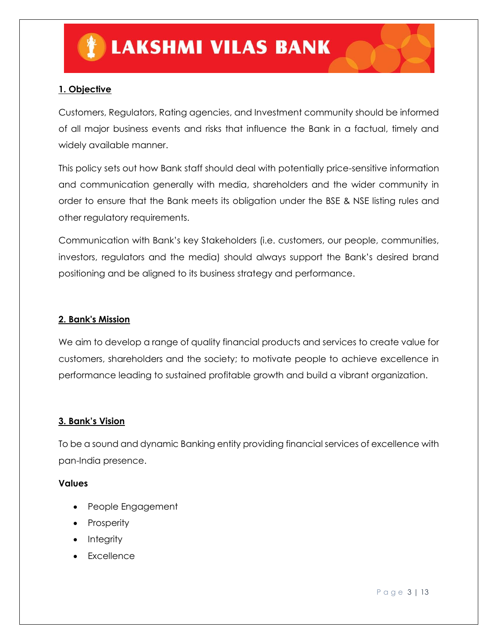#### **1. Objective**

Customers, Regulators, Rating agencies, and Investment community should be informed of all major business events and risks that influence the Bank in a factual, timely and widely available manner.

This policy sets out how Bank staff should deal with potentially price-sensitive information and communication generally with media, shareholders and the wider community in order to ensure that the Bank meets its obligation under the BSE & NSE listing rules and other regulatory requirements.

Communication with Bank's key Stakeholders (i.e. customers, our people, communities, investors, regulators and the media) should always support the Bank's desired brand positioning and be aligned to its business strategy and performance.

#### **2. Bank's Mission**

We aim to develop a range of quality financial products and services to create value for customers, shareholders and the society; to motivate people to achieve excellence in performance leading to sustained profitable growth and build a vibrant organization.

#### **3. Bank's Vision**

To be a sound and dynamic Banking entity providing financial services of excellence with pan-India presence.

#### **Values**

- People Engagement
- Prosperity
- Integrity
- Excellence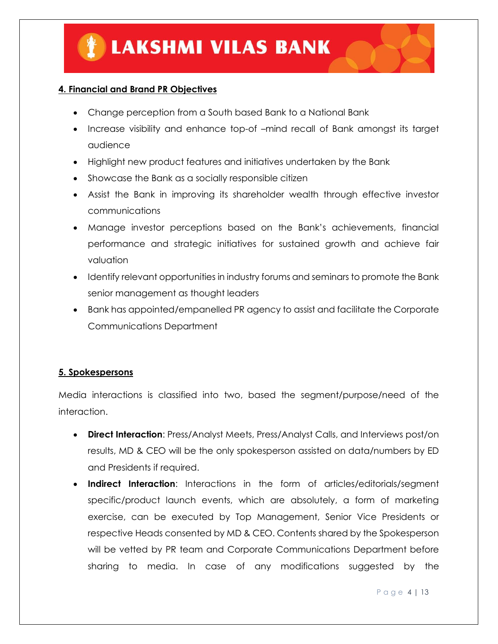#### **4. Financial and Brand PR Objectives**

- Change perception from a South based Bank to a National Bank
- Increase visibility and enhance top-of –mind recall of Bank amongst its target audience
- Highlight new product features and initiatives undertaken by the Bank
- Showcase the Bank as a socially responsible citizen
- Assist the Bank in improving its shareholder wealth through effective investor communications
- Manage investor perceptions based on the Bank's achievements, financial performance and strategic initiatives for sustained growth and achieve fair valuation
- Identify relevant opportunities in industry forums and seminars to promote the Bank senior management as thought leaders
- Bank has appointed/empanelled PR agency to assist and facilitate the Corporate Communications Department

#### **5. Spokespersons**

Media interactions is classified into two, based the segment/purpose/need of the interaction.

- **Direct Interaction**: Press/Analyst Meets, Press/Analyst Calls, and Interviews post/on results, MD & CEO will be the only spokesperson assisted on data/numbers by ED and Presidents if required.
- **Indirect Interaction**: Interactions in the form of articles/editorials/segment specific/product launch events, which are absolutely, a form of marketing exercise, can be executed by Top Management, Senior Vice Presidents or respective Heads consented by MD & CEO. Contents shared by the Spokesperson will be vetted by PR team and Corporate Communications Department before sharing to media. In case of any modifications suggested by the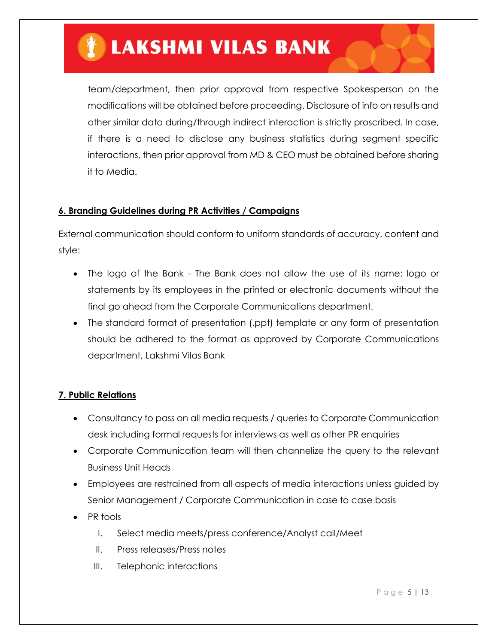### **LAKSHMI VILAS BANK**

team/department, then prior approval from respective Spokesperson on the modifications will be obtained before proceeding. Disclosure of info on results and other similar data during/through indirect interaction is strictly proscribed. In case, if there is a need to disclose any business statistics during segment specific interactions, then prior approval from MD & CEO must be obtained before sharing it to Media.

#### **6. Branding Guidelines during PR Activities / Campaigns**

External communication should conform to uniform standards of accuracy, content and style:

- The logo of the Bank The Bank does not allow the use of its name; logo or statements by its employees in the printed or electronic documents without the final go ahead from the Corporate Communications department.
- The standard format of presentation (.ppt) template or any form of presentation should be adhered to the format as approved by Corporate Communications department, Lakshmi Vilas Bank

#### **7. Public Relations**

- Consultancy to pass on all media requests / queries to Corporate Communication desk including formal requests for interviews as well as other PR enquiries
- Corporate Communication team will then channelize the query to the relevant Business Unit Heads
- Employees are restrained from all aspects of media interactions unless guided by Senior Management / Corporate Communication in case to case basis
- PR tools
	- I. Select media meets/press conference/Analyst call/Meet
	- II. Press releases/Press notes
	- III. Telephonic interactions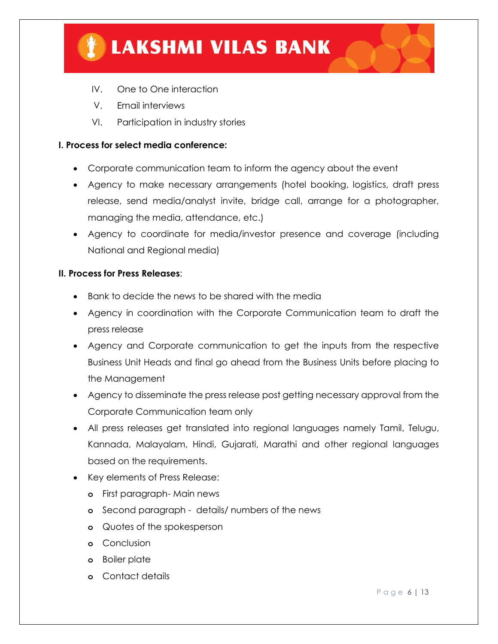

- IV. One to One interaction
- V. Email interviews
- VI. Participation in industry stories

#### **I. Process for select media conference:**

- Corporate communication team to inform the agency about the event
- Agency to make necessary arrangements (hotel booking, logistics, draft press release, send media/analyst invite, bridge call, arrange for a photographer, managing the media, attendance, etc.)
- Agency to coordinate for media/investor presence and coverage (including National and Regional media)

#### **II. Process for Press Releases**:

- Bank to decide the news to be shared with the media
- Agency in coordination with the Corporate Communication team to draft the press release
- Agency and Corporate communication to get the inputs from the respective Business Unit Heads and final go ahead from the Business Units before placing to the Management
- Agency to disseminate the press release post getting necessary approval from the Corporate Communication team only
- All press releases get translated into regional languages namely Tamil, Telugu, Kannada, Malayalam, Hindi, Gujarati, Marathi and other regional languages based on the requirements.
- Key elements of Press Release:
	- **o** First paragraph- Main news
	- **o** Second paragraph details/ numbers of the news
	- **o** Quotes of the spokesperson
	- **o** Conclusion
	- **o** Boiler plate
	- **o** Contact details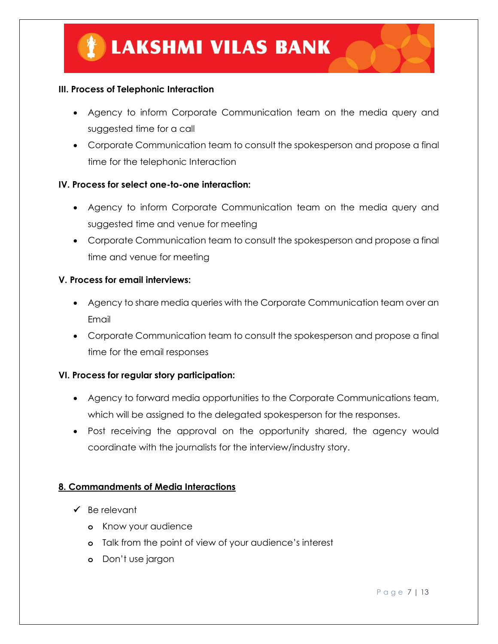#### **III. Process of Telephonic Interaction**

- Agency to inform Corporate Communication team on the media query and suggested time for a call
- Corporate Communication team to consult the spokesperson and propose a final time for the telephonic Interaction

#### **IV. Process for select one-to-one interaction:**

- Agency to inform Corporate Communication team on the media query and suggested time and venue for meeting
- Corporate Communication team to consult the spokesperson and propose a final time and venue for meeting

#### **V. Process for email interviews:**

- Agency to share media queries with the Corporate Communication team over an Email
- Corporate Communication team to consult the spokesperson and propose a final time for the email responses

#### **VI. Process for regular story participation:**

- Agency to forward media opportunities to the Corporate Communications team, which will be assigned to the delegated spokesperson for the responses.
- Post receiving the approval on the opportunity shared, the agency would coordinate with the journalists for the interview/industry story.

#### **8. Commandments of Media Interactions**

- $\checkmark$  Be relevant
	- **o** Know your audience
	- **o** Talk from the point of view of your audience's interest
	- **o** Don't use jargon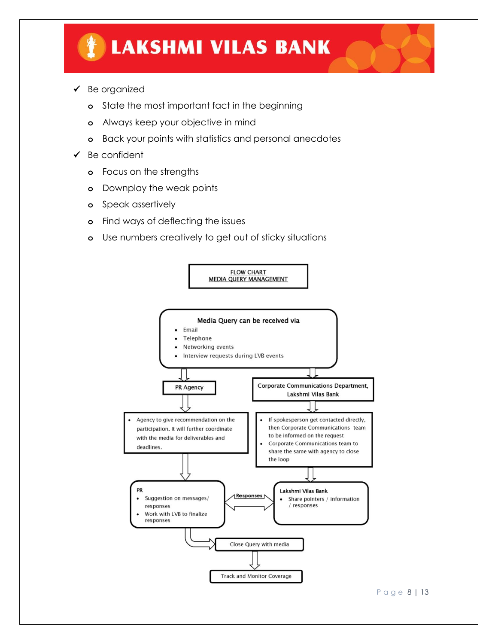- $\checkmark$  Be organized
	- **o** State the most important fact in the beginning
	- **o** Always keep your objective in mind
	- **o** Back your points with statistics and personal anecdotes
- $\checkmark$  Be confident
	- **o** Focus on the strengths
	- **o** Downplay the weak points
	- **o** Speak assertively
	- **o** Find ways of deflecting the issues
	- **o** Use numbers creatively to get out of sticky situations

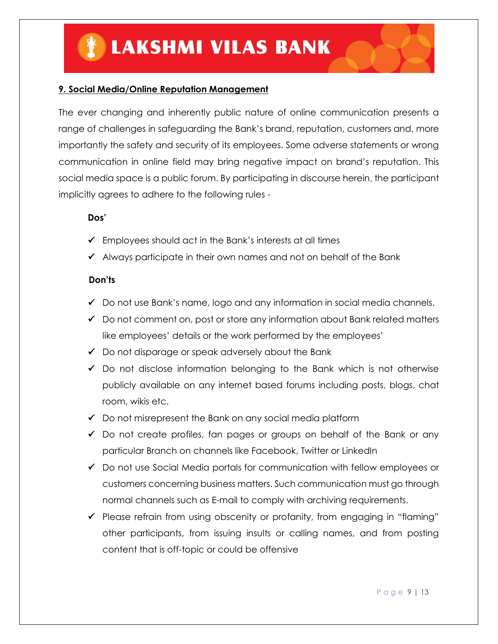#### **9. Social Media/Online Reputation Management**

The ever changing and inherently public nature of online communication presents a range of challenges in safeguarding the Bank's brand, reputation, customers and, more importantly the safety and security of its employees. Some adverse statements or wrong communication in online field may bring negative impact on brand's reputation. This social media space is a public forum. By participating in discourse herein, the participant implicitly agrees to adhere to the following rules -

#### **Dos'**

- $\checkmark$  Employees should act in the Bank's interests at all times
- $\checkmark$  Always participate in their own names and not on behalf of the Bank

#### **Don'ts**

- $\checkmark$  Do not use Bank's name, logo and any information in social media channels.
- $\checkmark$  Do not comment on, post or store any information about Bank related matters like employees' details or the work performed by the employees'
- $\checkmark$  Do not disparage or speak adversely about the Bank
- $\checkmark$  Do not disclose information belonging to the Bank which is not otherwise publicly available on any internet based forums including posts, blogs, chat room, wikis etc.
- $\checkmark$  Do not misrepresent the Bank on any social media platform
- $\checkmark$  Do not create profiles, fan pages or groups on behalf of the Bank or any particular Branch on channels like Facebook, Twitter or LinkedIn
- $\checkmark$  Do not use Social Media portals for communication with fellow employees or customers concerning business matters. Such communication must go through normal channels such as E-mail to comply with archiving requirements.
- $\checkmark$  Please refrain from using obscenity or profanity, from engaging in "flaming" other participants, from issuing insults or calling names, and from posting content that is off-topic or could be offensive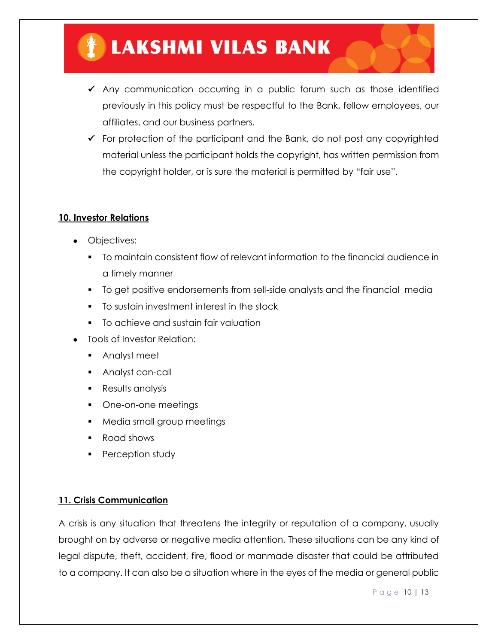### **LAKSHMI VILAS BANK**

- $\checkmark$  Any communication occurring in a public forum such as those identified previously in this policy must be respectful to the Bank, fellow employees, our affiliates, and our business partners.
- $\checkmark$  For protection of the participant and the Bank, do not post any copyrighted material unless the participant holds the copyright, has written permission from the copyright holder, or is sure the material is permitted by "fair use".

#### **10. Investor Relations**

- Objectives:
	- To maintain consistent flow of relevant information to the financial audience in a timely manner
	- To get positive endorsements from sell-side analysts and the financial media
	- To sustain investment interest in the stock
	- **To achieve and sustain fair valuation**
- Tools of Investor Relation:
	- **Analyst meet**
	- **Analyst con-call**
	- **Results analysis**
	- **•** One-on-one meetings
	- **Media small group meetings**
	- Road shows
	- **Perception study**

#### **11. Crisis Communication**

A crisis is any situation that threatens the integrity or reputation of a company, usually brought on by adverse or negative media attention. These situations can be any kind of legal dispute, theft, accident, fire, flood or manmade disaster that could be attributed to a company. It can also be a situation where in the eyes of the media or general public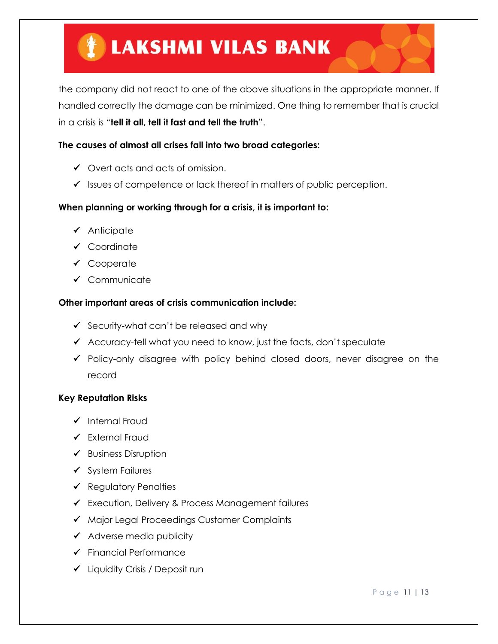the company did not react to one of the above situations in the appropriate manner. If handled correctly the damage can be minimized. One thing to remember that is crucial in a crisis is "**tell it all, tell it fast and tell the truth**".

#### **The causes of almost all crises fall into two broad categories:**

- $\checkmark$  Overt acts and acts of omission.
- $\checkmark$  Issues of competence or lack thereof in matters of public perception.

#### **When planning or working through for a crisis, it is important to:**

- $\checkmark$  Anticipate
- ✔ Coordinate
- ✔ Cooperate
- $\checkmark$  Communicate

#### **Other important areas of crisis communication include:**

- $\checkmark$  Security-what can't be released and why
- $\checkmark$  Accuracy-tell what you need to know, just the facts, don't speculate
- Policy-only disagree with policy behind closed doors, never disagree on the record

#### **Key Reputation Risks**

- $\checkmark$  Internal Fraud
- $\checkmark$  External Fraud
- $\checkmark$  Business Disruption
- $\checkmark$  System Failures
- $\checkmark$  Regulatory Penalties
- Execution, Delivery & Process Management failures
- ◆ Major Legal Proceedings Customer Complaints
- $\checkmark$  Adverse media publicity
- $\checkmark$  Financial Performance
- Liquidity Crisis / Deposit run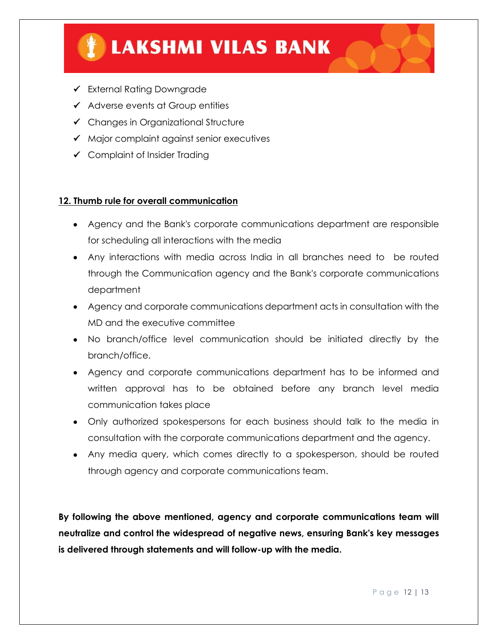

- External Rating Downgrade
- $\checkmark$  Adverse events at Group entities
- $\checkmark$  Changes in Organizational Structure
- $\checkmark$  Major complaint against senior executives
- Complaint of Insider Trading

#### **12. Thumb rule for overall communication**

- Agency and the Bank's corporate communications department are responsible for scheduling all interactions with the media
- Any interactions with media across India in all branches need to be routed through the Communication agency and the Bank's corporate communications department
- Agency and corporate communications department acts in consultation with the MD and the executive committee
- No branch/office level communication should be initiated directly by the branch/office.
- Agency and corporate communications department has to be informed and written approval has to be obtained before any branch level media communication takes place
- Only authorized spokespersons for each business should talk to the media in consultation with the corporate communications department and the agency.
- Any media query, which comes directly to a spokesperson, should be routed through agency and corporate communications team.

**By following the above mentioned, agency and corporate communications team will neutralize and control the widespread of negative news, ensuring Bank's key messages is delivered through statements and will follow-up with the media.**